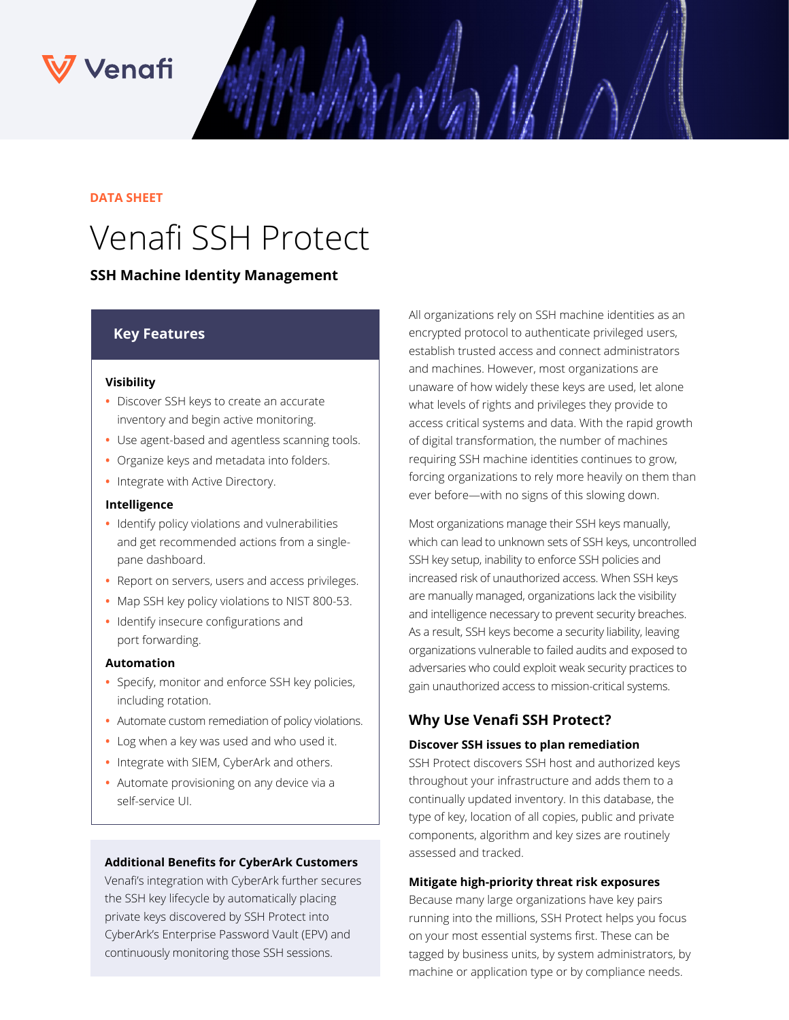## Venafi

### **DATA SHEET**

# Venafi SSH Protect

## **SSH Machine Identity Management**

## **Key Features**

#### **Visibility**

- **•** Discover SSH keys to create an accurate inventory and begin active monitoring.
- **•** Use agent-based and agentless scanning tools.
- **•** Organize keys and metadata into folders.
- **•** Integrate with Active Directory.

#### **Intelligence**

- **•** Identify policy violations and vulnerabilities and get recommended actions from a singlepane dashboard.
- **•** Report on servers, users and access privileges.
- **•** Map SSH key policy violations to NIST 800-53.
- **•** Identify insecure configurations and port forwarding.

#### **Automation**

- **•** Specify, monitor and enforce SSH key policies, including rotation.
- **•** Automate custom remediation of policy violations.
- **•** Log when a key was used and who used it.
- **•** Integrate with SIEM, CyberArk and others.
- **•** Automate provisioning on any device via a self-service UI.

### **Additional Benefits for CyberArk Customers**

Venafi's integration with CyberArk further secures the SSH key lifecycle by automatically placing private keys discovered by SSH Protect into CyberArk's Enterprise Password Vault (EPV) and continuously monitoring those SSH sessions.

All organizations rely on SSH machine identities as an encrypted protocol to authenticate privileged users, establish trusted access and connect administrators and machines. However, most organizations are unaware of how widely these keys are used, let alone what levels of rights and privileges they provide to access critical systems and data. With the rapid growth of digital transformation, the number of machines requiring SSH machine identities continues to grow, forcing organizations to rely more heavily on them than ever before—with no signs of this slowing down.

Most organizations manage their SSH keys manually, which can lead to unknown sets of SSH keys, uncontrolled SSH key setup, inability to enforce SSH policies and increased risk of unauthorized access. When SSH keys are manually managed, organizations lack the visibility and intelligence necessary to prevent security breaches. As a result, SSH keys become a security liability, leaving organizations vulnerable to failed audits and exposed to adversaries who could exploit weak security practices to gain unauthorized access to mission-critical systems.

## **Why Use Venafi SSH Protect?**

#### **Discover SSH issues to plan remediation**

SSH Protect discovers SSH host and authorized keys throughout your infrastructure and adds them to a continually updated inventory. In this database, the type of key, location of all copies, public and private components, algorithm and key sizes are routinely assessed and tracked.

### **Mitigate high-priority threat risk exposures**

Because many large organizations have key pairs running into the millions, SSH Protect helps you focus on your most essential systems first. These can be tagged by business units, by system administrators, by machine or application type or by compliance needs.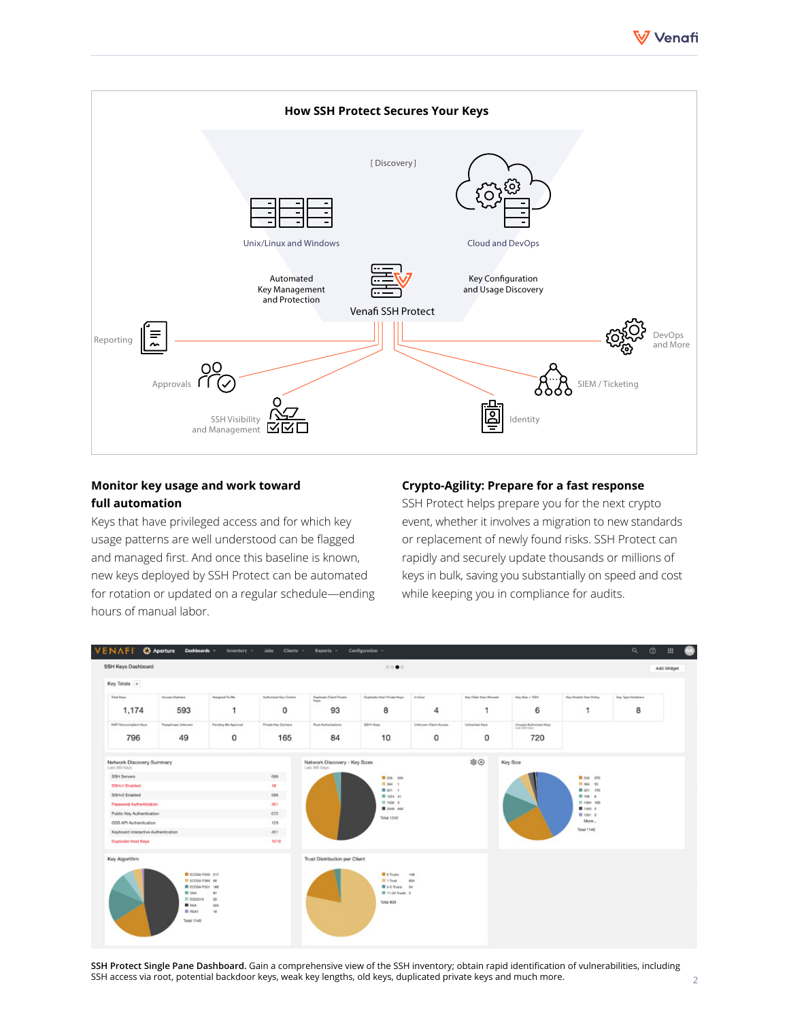



## **Monitor key usage and work toward full automation**

Keys that have privileged access and for which key usage patterns are well understood can be flagged and managed first. And once this baseline is known, new keys deployed by SSH Protect can be automated for rotation or updated on a regular schedule—ending hours of manual labor.

## **Crypto-Agility: Prepare for a fast response**

SSH Protect helps prepare you for the next crypto event, whether it involves a migration to new standards or replacement of newly found risks. SSH Protect can rapidly and securely update thousands or millions of keys in bulk, saving you substantially on speed and cost while keeping you in compliance for audits.



**SSH Protect Single Pane Dashboard.** Gain a comprehensive view of the SSH inventory; obtain rapid identification of vulnerabilities, including SSH access via root, potential backdoor keys, weak key lengths, old keys, duplicated private keys and much more.